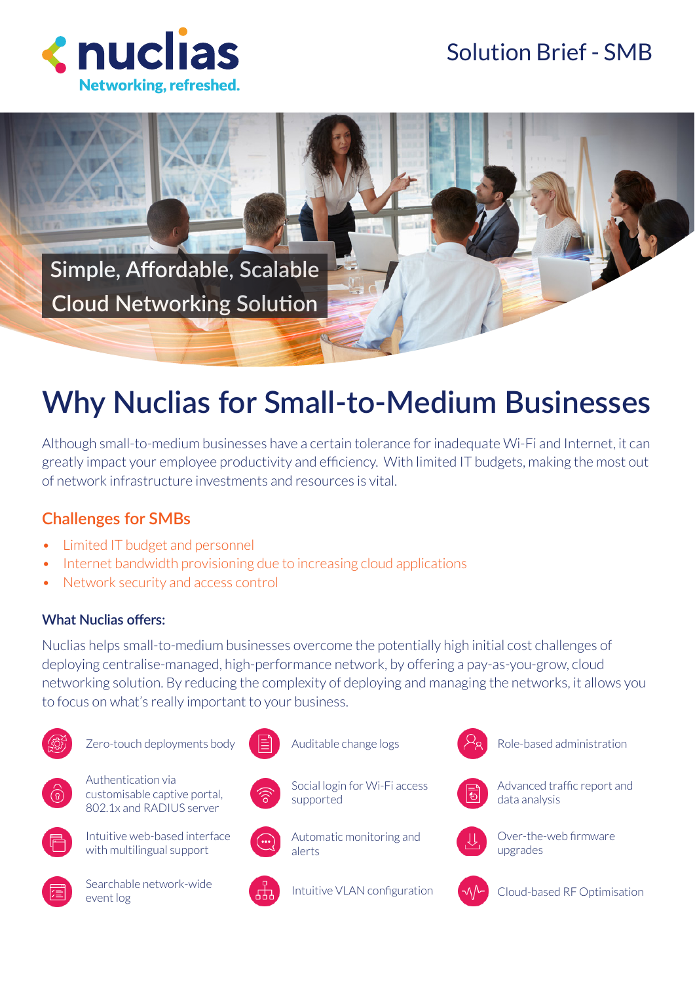## Solution Brief - SMB





# **Why Nuclias for Small-to-Medium Businesses**

Although small-to-medium businesses have a certain tolerance for inadequate Wi-Fi and Internet, it can greatly impact your employee productivity and efficiency. With limited IT budgets, making the most out of network infrastructure investments and resources is vital.

### **Challenges for SMBs**

- Limited IT budget and personnel
- Internet bandwidth provisioning due to increasing cloud applications
- Network security and access control

#### **What Nuclias offers:**

Nuclias helps small-to-medium businesses overcome the potentially high initial cost challenges of deploying centralise-managed, high-performance network, by offering a pay-as-you-grow, cloud networking solution. By reducing the complexity of deploying and managing the networks, it allows you to focus on what's really important to your business.



Zero-touch deployments body



Authentication via customisable captive portal, 802.1x and RADIUS server



Intuitive web-based interface with multilingual support



Searchable network-wide event log







Social login for Wi-Fi access supported



Automatic monitoring and alerts

Intuitive VLAN configuration



Role-based administration



data analysis



Over-the-web firmware upgrades



Cloud-based RF Optimisation